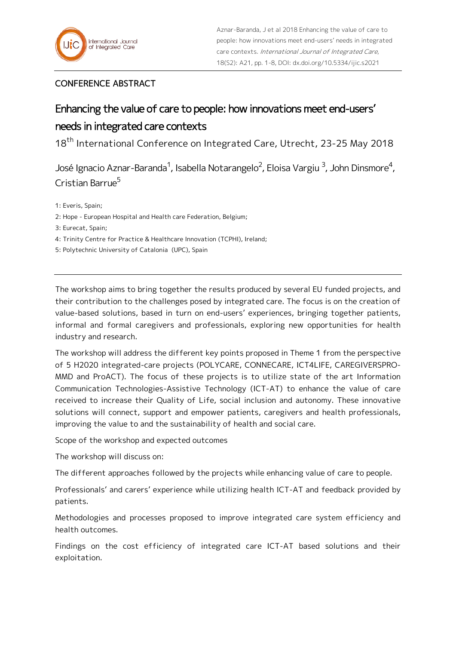## CONFERENCE ABSTRACT

## Enhancing the value of care to people: how innovations meet end-users' needs in integrated care contexts

18<sup>th</sup> International Conference on Integrated Care, Utrecht, 23-25 May 2018

José Ignacio Aznar-Baranda<sup>1</sup>, Isabella Notarangelo<sup>2</sup>, Eloisa Vargiu <sup>3</sup>, John Dinsmore<sup>4</sup>, Cristian Barrue<sup>5</sup>

1: Everis, Spain;

2: Hope - European Hospital and Health care Federation, Belgium;

3: Eurecat, Spain;

4: Trinity Centre for Practice & Healthcare Innovation (TCPHI), Ireland;

5: Polytechnic University of Catalonia (UPC), Spain

The workshop aims to bring together the results produced by several EU funded projects, and their contribution to the challenges posed by integrated care. The focus is on the creation of value-based solutions, based in turn on end-users' experiences, bringing together patients, informal and formal caregivers and professionals, exploring new opportunities for health industry and research.

The workshop will address the different key points proposed in Theme 1 from the perspective of 5 H2020 integrated-care projects (POLYCARE, CONNECARE, ICT4LIFE, CAREGIVERSPRO-MMD and ProACT). The focus of these projects is to utilize state of the art Information Communication Technologies-Assistive Technology (ICT-AT) to enhance the value of care received to increase their Quality of Life, social inclusion and autonomy. These innovative solutions will connect, support and empower patients, caregivers and health professionals, improving the value to and the sustainability of health and social care.

Scope of the workshop and expected outcomes

The workshop will discuss on:

The different approaches followed by the projects while enhancing value of care to people.

Professionals' and carers' experience while utilizing health ICT-AT and feedback provided by patients.

Methodologies and processes proposed to improve integrated care system efficiency and health outcomes.

Findings on the cost efficiency of integrated care ICT-AT based solutions and their exploitation.